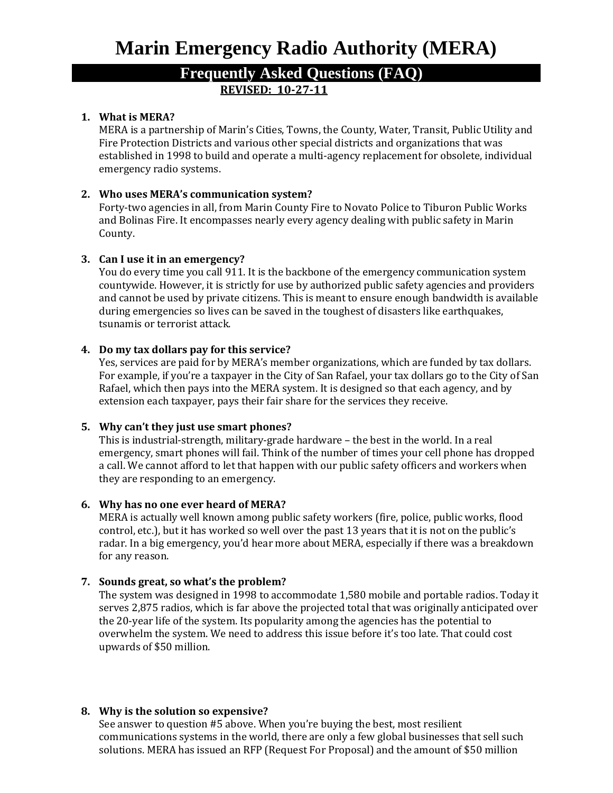# **Marin Emergency Radio Authority (MERA)**

# **Frequently Asked Questions (FAQ) REVISED: 10-27-11**

# **1. What is MERA?**

MERA is a partnership of Marin's Cities, Towns, the County, Water, Transit, Public Utility and Fire Protection Districts and various other special districts and organizations that was established in 1998 to build and operate a multi-agency replacement for obsolete, individual emergency radio systems.

# **2. Who uses MERA's communication system?**

Forty-two agencies in all, from Marin County Fire to Novato Police to Tiburon Public Works and Bolinas Fire. It encompasses nearly every agency dealing with public safety in Marin County.

# **3. Can I use it in an emergency?**

You do every time you call 911. It is the backbone of the emergency communication system countywide. However, it is strictly for use by authorized public safety agencies and providers and cannot be used by private citizens. This is meant to ensure enough bandwidth is available during emergencies so lives can be saved in the toughest of disasters like earthquakes, tsunamis or terrorist attack.

# **4. Do my tax dollars pay for this service?**

Yes, services are paid for by MERA's member organizations, which are funded by tax dollars. For example, if you're a taxpayer in the City of San Rafael, your tax dollars go to the City of San Rafael, which then pays into the MERA system. It is designed so that each agency, and by extension each taxpayer, pays their fair share for the services they receive.

# **5. Why can't they just use smart phones?**

This is industrial-strength, military-grade hardware – the best in the world. In a real emergency, smart phones will fail. Think of the number of times your cell phone has dropped a call. We cannot afford to let that happen with our public safety officers and workers when they are responding to an emergency.

# **6. Why has no one ever heard of MERA?**

MERA is actually well known among public safety workers (fire, police, public works, flood control, etc.), but it has worked so well over the past 13 years that it is not on the public's radar. In a big emergency, you'd hear more about MERA, especially if there was a breakdown for any reason.

# **7. Sounds great, so what's the problem?**

The system was designed in 1998 to accommodate 1,580 mobile and portable radios. Today it serves 2,875 radios, which is far above the projected total that was originally anticipated over the 20-year life of the system. Its popularity among the agencies has the potential to overwhelm the system. We need to address this issue before it's too late. That could cost upwards of \$50 million.

# **8. Why is the solution so expensive?**

See answer to question #5 above. When you're buying the best, most resilient communications systems in the world, there are only a few global businesses that sell such solutions. MERA has issued an RFP (Request For Proposal) and the amount of \$50 million